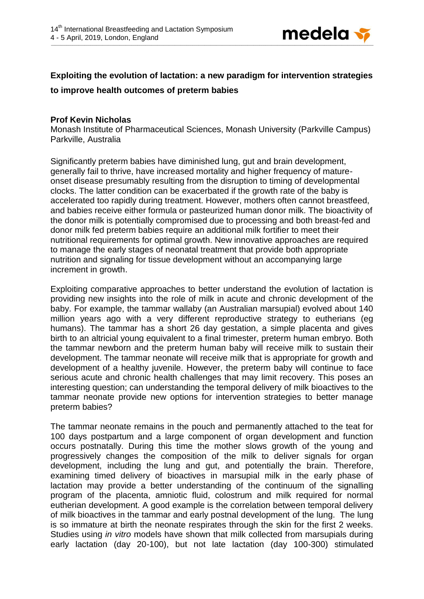

## **Exploiting the evolution of lactation: a new paradigm for intervention strategies**

## **to improve health outcomes of preterm babies**

## **Prof Kevin Nicholas**

Monash Institute of Pharmaceutical Sciences, Monash University (Parkville Campus) Parkville, Australia

Significantly preterm babies have diminished lung, gut and brain development, generally fail to thrive, have increased mortality and higher frequency of matureonset disease presumably resulting from the disruption to timing of developmental clocks. The latter condition can be exacerbated if the growth rate of the baby is accelerated too rapidly during treatment. However, mothers often cannot breastfeed, and babies receive either formula or pasteurized human donor milk. The bioactivity of the donor milk is potentially compromised due to processing and both breast-fed and donor milk fed preterm babies require an additional milk fortifier to meet their nutritional requirements for optimal growth. New innovative approaches are required to manage the early stages of neonatal treatment that provide both appropriate nutrition and signaling for tissue development without an accompanying large increment in growth.

Exploiting comparative approaches to better understand the evolution of lactation is providing new insights into the role of milk in acute and chronic development of the baby. For example, the tammar wallaby (an Australian marsupial) evolved about 140 million years ago with a very different reproductive strategy to eutherians (eg humans). The tammar has a short 26 day gestation, a simple placenta and gives birth to an altricial young equivalent to a final trimester, preterm human embryo. Both the tammar newborn and the preterm human baby will receive milk to sustain their development. The tammar neonate will receive milk that is appropriate for growth and development of a healthy juvenile. However, the preterm baby will continue to face serious acute and chronic health challenges that may limit recovery. This poses an interesting question; can understanding the temporal delivery of milk bioactives to the tammar neonate provide new options for intervention strategies to better manage preterm babies?

The tammar neonate remains in the pouch and permanently attached to the teat for 100 days postpartum and a large component of organ development and function occurs postnatally. During this time the mother slows growth of the young and progressively changes the composition of the milk to deliver signals for organ development, including the lung and gut, and potentially the brain. Therefore, examining timed delivery of bioactives in marsupial milk in the early phase of lactation may provide a better understanding of the continuum of the signalling program of the placenta, amniotic fluid, colostrum and milk required for normal eutherian development. A good example is the correlation between temporal delivery of milk bioactives in the tammar and early postnal development of the lung. The lung is so immature at birth the neonate respirates through the skin for the first 2 weeks. Studies using *in vitro* models have shown that milk collected from marsupials during early lactation (day 20-100), but not late lactation (day 100-300) stimulated